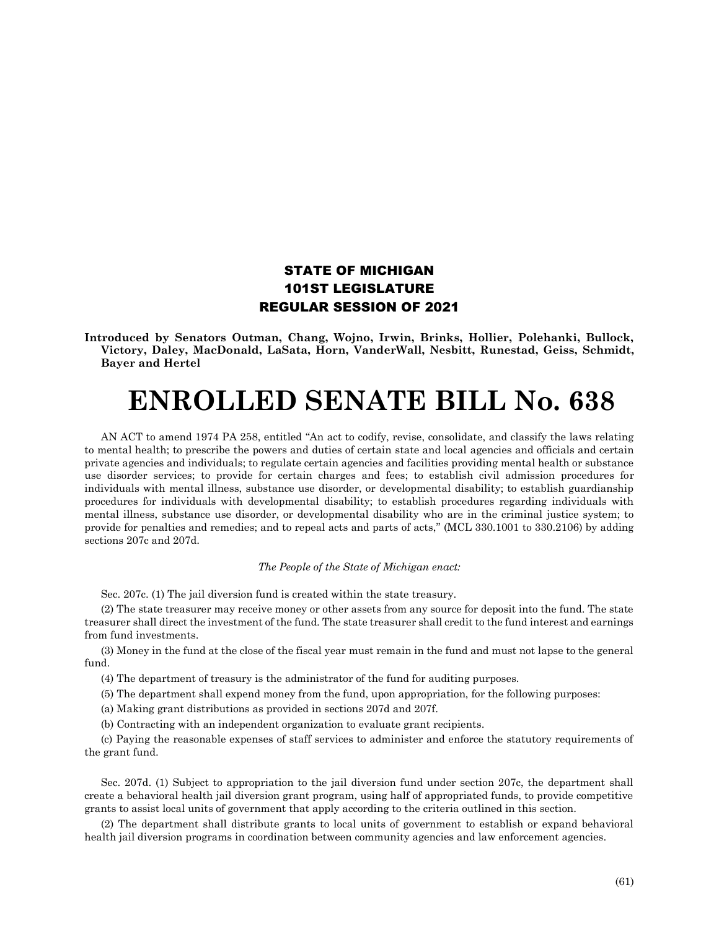## STATE OF MICHIGAN 101ST LEGISLATURE REGULAR SESSION OF 2021

**Introduced by Senators Outman, Chang, Wojno, Irwin, Brinks, Hollier, Polehanki, Bullock, Victory, Daley, MacDonald, LaSata, Horn, VanderWall, Nesbitt, Runestad, Geiss, Schmidt, Bayer and Hertel**

## **ENROLLED SENATE BILL No. 638**

AN ACT to amend 1974 PA 258, entitled "An act to codify, revise, consolidate, and classify the laws relating to mental health; to prescribe the powers and duties of certain state and local agencies and officials and certain private agencies and individuals; to regulate certain agencies and facilities providing mental health or substance use disorder services; to provide for certain charges and fees; to establish civil admission procedures for individuals with mental illness, substance use disorder, or developmental disability; to establish guardianship procedures for individuals with developmental disability; to establish procedures regarding individuals with mental illness, substance use disorder, or developmental disability who are in the criminal justice system; to provide for penalties and remedies; and to repeal acts and parts of acts," (MCL 330.1001 to 330.2106) by adding sections 207c and 207d.

## *The People of the State of Michigan enact:*

Sec. 207c. (1) The jail diversion fund is created within the state treasury.

(2) The state treasurer may receive money or other assets from any source for deposit into the fund. The state treasurer shall direct the investment of the fund. The state treasurer shall credit to the fund interest and earnings from fund investments.

(3) Money in the fund at the close of the fiscal year must remain in the fund and must not lapse to the general fund.

- (4) The department of treasury is the administrator of the fund for auditing purposes.
- (5) The department shall expend money from the fund, upon appropriation, for the following purposes:
- (a) Making grant distributions as provided in sections 207d and 207f.
- (b) Contracting with an independent organization to evaluate grant recipients.

(c) Paying the reasonable expenses of staff services to administer and enforce the statutory requirements of the grant fund.

Sec. 207d. (1) Subject to appropriation to the jail diversion fund under section 207c, the department shall create a behavioral health jail diversion grant program, using half of appropriated funds, to provide competitive grants to assist local units of government that apply according to the criteria outlined in this section.

(2) The department shall distribute grants to local units of government to establish or expand behavioral health jail diversion programs in coordination between community agencies and law enforcement agencies.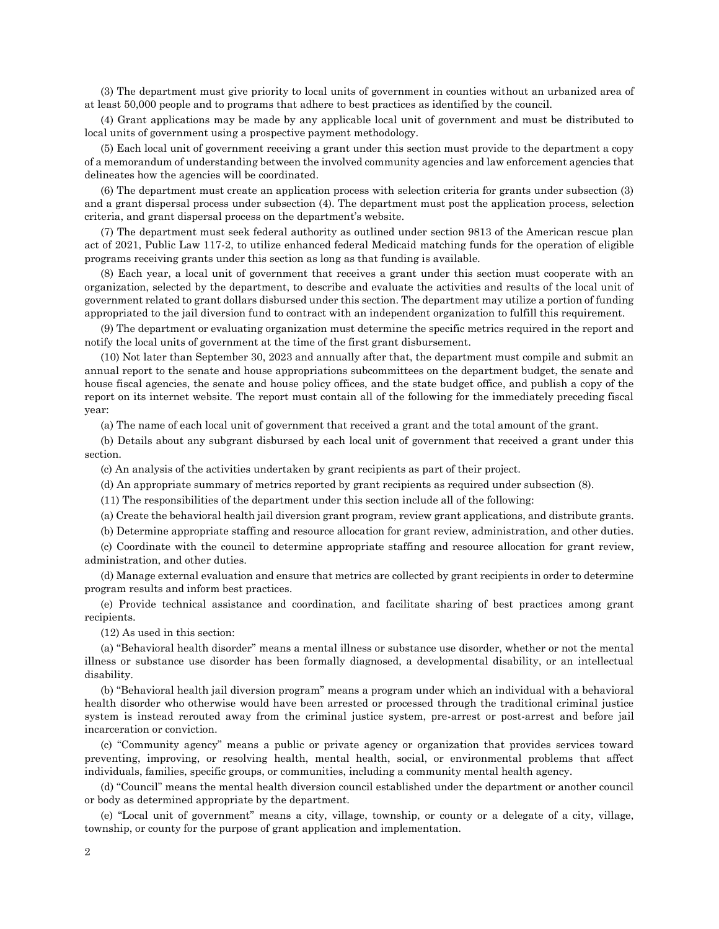(3) The department must give priority to local units of government in counties without an urbanized area of at least 50,000 people and to programs that adhere to best practices as identified by the council.

(4) Grant applications may be made by any applicable local unit of government and must be distributed to local units of government using a prospective payment methodology.

(5) Each local unit of government receiving a grant under this section must provide to the department a copy of a memorandum of understanding between the involved community agencies and law enforcement agencies that delineates how the agencies will be coordinated.

(6) The department must create an application process with selection criteria for grants under subsection (3) and a grant dispersal process under subsection (4). The department must post the application process, selection criteria, and grant dispersal process on the department's website.

(7) The department must seek federal authority as outlined under section 9813 of the American rescue plan act of 2021, Public Law 117-2, to utilize enhanced federal Medicaid matching funds for the operation of eligible programs receiving grants under this section as long as that funding is available.

(8) Each year, a local unit of government that receives a grant under this section must cooperate with an organization, selected by the department, to describe and evaluate the activities and results of the local unit of government related to grant dollars disbursed under this section. The department may utilize a portion of funding appropriated to the jail diversion fund to contract with an independent organization to fulfill this requirement.

(9) The department or evaluating organization must determine the specific metrics required in the report and notify the local units of government at the time of the first grant disbursement.

(10) Not later than September 30, 2023 and annually after that, the department must compile and submit an annual report to the senate and house appropriations subcommittees on the department budget, the senate and house fiscal agencies, the senate and house policy offices, and the state budget office, and publish a copy of the report on its internet website. The report must contain all of the following for the immediately preceding fiscal year:

(a) The name of each local unit of government that received a grant and the total amount of the grant.

(b) Details about any subgrant disbursed by each local unit of government that received a grant under this section.

(c) An analysis of the activities undertaken by grant recipients as part of their project.

(d) An appropriate summary of metrics reported by grant recipients as required under subsection (8).

(11) The responsibilities of the department under this section include all of the following:

(a) Create the behavioral health jail diversion grant program, review grant applications, and distribute grants.

(b) Determine appropriate staffing and resource allocation for grant review, administration, and other duties.

(c) Coordinate with the council to determine appropriate staffing and resource allocation for grant review, administration, and other duties.

(d) Manage external evaluation and ensure that metrics are collected by grant recipients in order to determine program results and inform best practices.

(e) Provide technical assistance and coordination, and facilitate sharing of best practices among grant recipients.

(12) As used in this section:

(a) "Behavioral health disorder" means a mental illness or substance use disorder, whether or not the mental illness or substance use disorder has been formally diagnosed, a developmental disability, or an intellectual disability.

(b) "Behavioral health jail diversion program" means a program under which an individual with a behavioral health disorder who otherwise would have been arrested or processed through the traditional criminal justice system is instead rerouted away from the criminal justice system, pre-arrest or post-arrest and before jail incarceration or conviction.

(c) "Community agency" means a public or private agency or organization that provides services toward preventing, improving, or resolving health, mental health, social, or environmental problems that affect individuals, families, specific groups, or communities, including a community mental health agency.

(d) "Council" means the mental health diversion council established under the department or another council or body as determined appropriate by the department.

(e) "Local unit of government" means a city, village, township, or county or a delegate of a city, village, township, or county for the purpose of grant application and implementation.